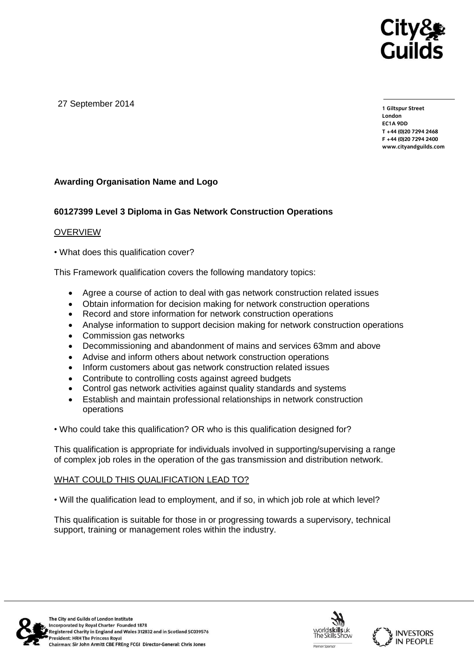

27 September 2014

**1 Giltspur Street EC1A 9DD** T +44 (0) 20 7 294 2468 **T +44 (0)20 7294 246[8](http://www.cityandguilds.com/) F +44 (0)20 7294 2400 [www.cityandguilds.com](http://www.cityandguilds.com/)**

# **Awarding Organisation Name and Logo**

# **60127399 Level 3 Diploma in Gas Network Construction Operations**

### **OVERVIEW**

• What does this qualification cover?

This Framework qualification covers the following mandatory topics:

- Agree a course of action to deal with gas network construction related issues
- Obtain information for decision making for network construction operations
- Record and store information for network construction operations
- Analyse information to support decision making for network construction operations
- Commission gas networks
- Decommissioning and abandonment of mains and services 63mm and above
- Advise and inform others about network construction operations
- Inform customers about gas network construction related issues
- Contribute to controlling costs against agreed budgets
- Control gas network activities against quality standards and systems
- Establish and maintain professional relationships in network construction operations
- Who could take this qualification? OR who is this qualification designed for?

This qualification is appropriate for individuals involved in supporting/supervising a range of complex job roles in the operation of the gas transmission and distribution network.

### WHAT COULD THIS QUALIFICATION LEAD TO?

• Will the qualification lead to employment, and if so, in which job role at which level?

This qualification is suitable for those in or progressing towards a supervisory, technical support, training or management roles within the industry.